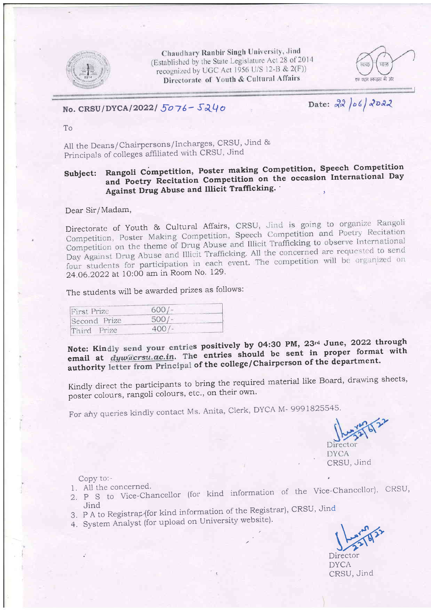

Chaudhary Ranbir Singh University, Jind (Established by the State Legislature Act 28 of 2014) recognized by UGC Act 1956 U/S 12-B & 2(F)) Directorate of Youth & Cultural Affairs



No. CRSU/DYCA/2022/ $5076- 5240$ 

Date: 22/06/2022

To

All the Deans/Chairpersons/Incharges, CRSU, Jind & Principals of colleges affiliated with CRSU, Jind

### Subject: Rangoli Competition, Poster making Competition, Speech Competition and Poetry Recitation Competition on the occasion International Day Against Drug Abuse and Illicit Trafficking. I

Dear Sir/Madam,

Directorate of Youth & Cultural Affairs, CRSU, Jind is going to organize Rangoli<br>Competition, Poster Making Competition, Speech Competition and Poetry Recitation Competition, Poster Making Competition, Speech Competition and Tocal Transienter<br>Competition on the theme of Drug Abuse and Illicit Trafficking to observe International Competition on the theme of Drug Abuse and lifter framewing to about the concerned are requested to send<br>Day Against Drug Abuse and Illicit Trafficking. All the concerned are requested to send four students for participation in each event. The competition will be organized on 24.06.2022 at 10:00 am in Room No. 129.

The students will be awarded prizes as follows:

| First Prize  | $600/-$ |  |
|--------------|---------|--|
| Second Prize | $500/-$ |  |
| Third Prize  | 400/    |  |

Note: Kindly send your entries positively by 04:30 PM, 23rd June, 2022 through email at  $\frac{dyw}{a}$ crsu.ac.in. The entries should be sent in proper format with authority letter from Principal of the college/Chairperson of the department.

Kindly direct the participants to bring the required material like Board, drawing sheets, poster colours, rangoli colours, etc., on their own.

For any queries kindly contact Ms. Anita, Clerk, DYCA M-9991825545.

 $Direct\alpha$ **DYCA** CRSU, Jind

- Copy to:-<br>1. All the concerned. 1. All the concerned.
- 1. All the concerned.<br>2. P S to Vice-Chancellor (for kind information of the Vice-Chancellor), CRSU, Jind
- 3. P A to Registrar (for kind information of the Registrar), CRSU, Unid<br>4. System Analyst (for upload on University website).
- 4. System Analyst (for upload on University website).

Director DYCA CRSU, Jind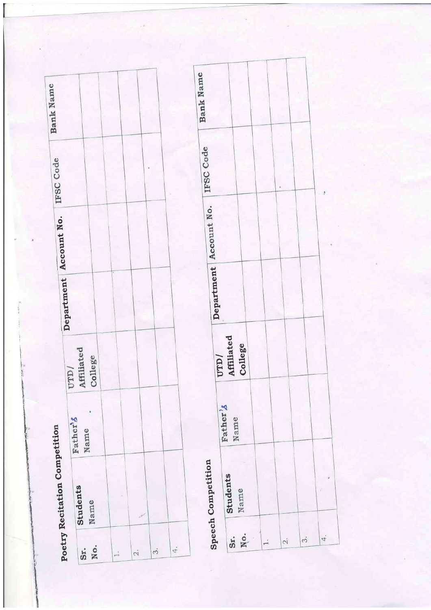| Bank Name                     |                              |                                              |
|-------------------------------|------------------------------|----------------------------------------------|
| IFSC Code                     |                              |                                              |
| Department Account No.        |                              |                                              |
|                               |                              |                                              |
|                               | Affiliated<br>College<br>VTT |                                              |
|                               | Father's<br>Name             |                                              |
| Poetry Recitation Competition | Students<br>Name             |                                              |
|                               | No.<br>Sr.                   | $\ddot{ }$<br>$\dot{\phi}$<br>$\ddot{\circ}$ |

| Bank Name                            |                       |                               |
|--------------------------------------|-----------------------|-------------------------------|
| Department   Account No.   IFSC Code |                       |                               |
| UTD/                                 | Affiliated<br>College |                               |
|                                      | Father's<br>Name      |                               |
| <b>Speech Competition</b>            | Students<br>Name      |                               |
|                                      | No.<br>Sr.            | $\dot{\gamma}$<br>4<br>$\sim$ |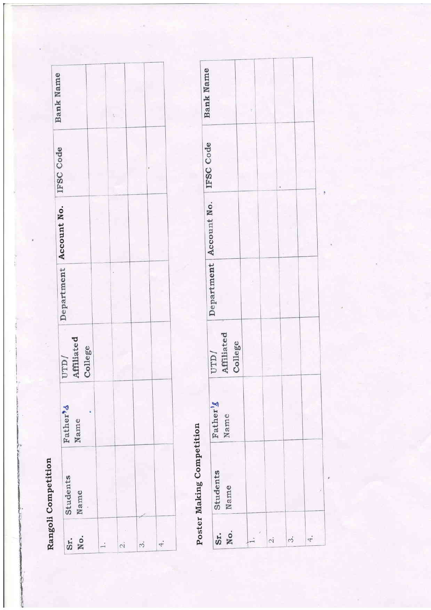| I |
|---|
|   |
|   |
|   |
|   |
|   |
|   |
| ĺ |
|   |
|   |
| ć |
|   |
|   |
| ì |
|   |
|   |
| ľ |
|   |
|   |
|   |
|   |
|   |

| Students<br>Name | Father <sup>9</sup> &<br>Name | Affiliated<br>College<br>/GLD | Department Account No. IFSC Code | Bank Name |
|------------------|-------------------------------|-------------------------------|----------------------------------|-----------|
|                  |                               |                               |                                  |           |
|                  |                               |                               |                                  |           |
|                  |                               |                               |                                  |           |
|                  |                               |                               |                                  |           |

# Poster Making Competition

| Department   Account No. IFSC Code<br>Affiliated<br>College<br>Name<br>Name |            | ١        |          |      |  | <b>Bank Name</b> |
|-----------------------------------------------------------------------------|------------|----------|----------|------|--|------------------|
| $\ddot{4}$<br>$\sim$<br>Ń                                                   | Sr.<br>No. | Students | Father's | UTD/ |  |                  |
|                                                                             |            |          |          |      |  |                  |
|                                                                             |            |          |          |      |  |                  |
|                                                                             |            |          |          |      |  |                  |
|                                                                             |            |          |          |      |  |                  |
|                                                                             |            |          |          |      |  |                  |